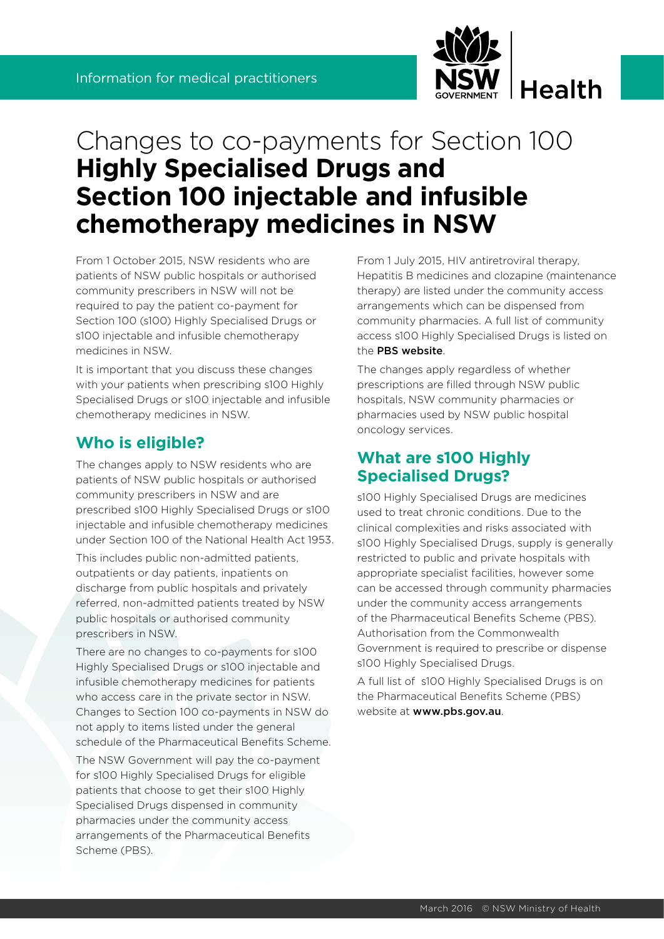

# Changes to co-payments for Section 100 **Highly Specialised Drugs and Section 100 injectable and infusible chemotherapy medicines in NSW**

From 1 October 2015, NSW residents who are patients of NSW public hospitals or authorised community prescribers in NSW will not be required to pay the patient co-payment for Section 100 (s100) Highly Specialised Drugs or s100 injectable and infusible chemotherapy medicines in NSW.

It is important that you discuss these changes with your patients when prescribing s100 Highly Specialised Drugs or s100 injectable and infusible chemotherapy medicines in NSW.

### **Who is eligible?**

The changes apply to NSW residents who are patients of NSW public hospitals or authorised community prescribers in NSW and are prescribed s100 Highly Specialised Drugs or s100 injectable and infusible chemotherapy medicines under Section 100 of the National Health Act 1953.

This includes public non-admitted patients, outpatients or day patients, inpatients on discharge from public hospitals and privately referred, non-admitted patients treated by NSW public hospitals or authorised community prescribers in NSW.

There are no changes to co-payments for s100 Highly Specialised Drugs or s100 injectable and infusible chemotherapy medicines for patients who access care in the private sector in NSW. Changes to Section 100 co-payments in NSW do not apply to items listed under the general schedule of the Pharmaceutical Benefits Scheme.

The NSW Government will pay the co-payment for s100 Highly Specialised Drugs for eligible patients that choose to get their s100 Highly Specialised Drugs dispensed in community pharmacies under the community access arrangements of the Pharmaceutical Benefits Scheme (PBS).

From 1 July 2015, HIV antiretroviral therapy, Hepatitis B medicines and clozapine (maintenance therapy) are listed under the community access arrangements which can be dispensed from community pharmacies. A full list of community access s100 Highly Specialised Drugs is listed on the [PBS website](http://www.pbs.gov.au/browse/section100-ca).

The changes apply regardless of whether prescriptions are filled through NSW public hospitals, NSW community pharmacies or pharmacies used by NSW public hospital oncology services.

## **What are s100 Highly Specialised Drugs?**

s100 Highly Specialised Drugs are medicines used to treat chronic conditions. Due to the clinical complexities and risks associated with s100 Highly Specialised Drugs, supply is generally restricted to public and private hospitals with appropriate specialist facilities, however some can be accessed through community pharmacies under the community access arrangements of the Pharmaceutical Benefits Scheme (PBS). Authorisation from the Commonwealth Government is required to prescribe or dispense s100 Highly Specialised Drugs.

A full list of s100 Highly Specialised Drugs is on the Pharmaceutical Benefits Scheme (PBS) website at www.pbs.gov.au.